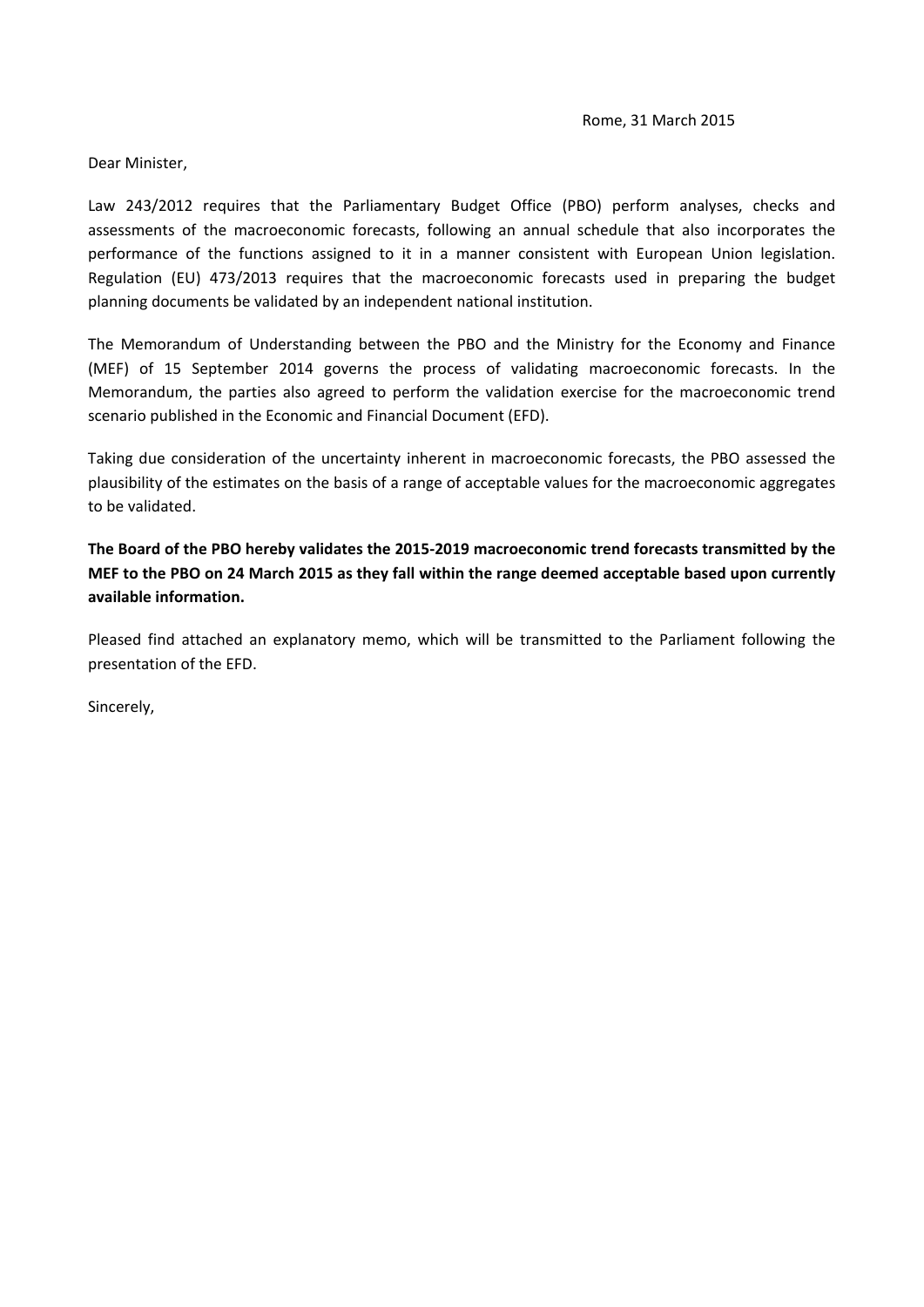Dear Minister,

Law 243/2012 requires that the Parliamentary Budget Office (PBO) perform analyses, checks and assessments of the macroeconomic forecasts, following an annual schedule that also incorporates the performance of the functions assigned to it in a manner consistent with European Union legislation. Regulation (EU) 473/2013 requires that the macroeconomic forecasts used in preparing the budget planning documents be validated by an independent national institution.

The Memorandum of Understanding between the PBO and the Ministry for the Economy and Finance (MEF) of 15 September 2014 governs the process of validating macroeconomic forecasts. In the Memorandum, the parties also agreed to perform the validation exercise for the macroeconomic trend scenario published in the Economic and Financial Document (EFD).

Taking due consideration of the uncertainty inherent in macroeconomic forecasts, the PBO assessed the plausibility of the estimates on the basis of a range of acceptable values for the macroeconomic aggregates to be validated.

**The Board of the PBO hereby validates the 2015‐2019 macroeconomic trend forecasts transmitted by the** MEF to the PBO on 24 March 2015 as they fall within the range deemed acceptable based upon currently **available information.**

Pleased find attached an explanatory memo, which will be transmitted to the Parliament following the presentation of the EFD.

Sincerely,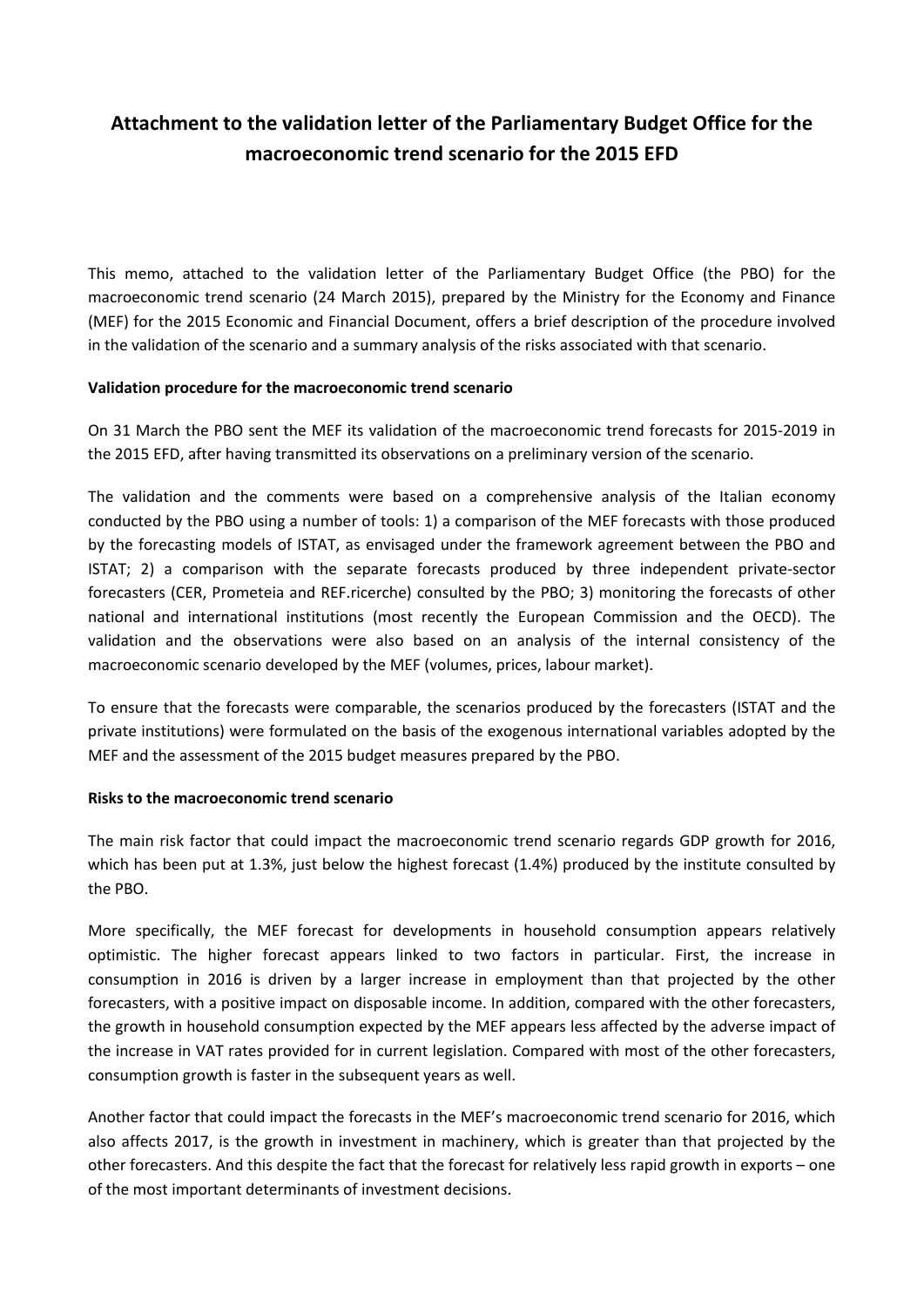## **Attachment to the validation letter of the Parliamentary Budget Office for the macroeconomic trend scenario for the 2015 EFD**

This memo, attached to the validation letter of the Parliamentary Budget Office (the PBO) for the macroeconomic trend scenario (24 March 2015), prepared by the Ministry for the Economy and Finance (MEF) for the 2015 Economic and Financial Document, offers a brief description of the procedure involved in the validation of the scenario and a summary analysis of the risks associated with that scenario.

## **Validation procedure for the macroeconomic trend scenario**

On 31 March the PBO sent the MEF its validation of the macroeconomic trend forecasts for 2015‐2019 in the 2015 EFD, after having transmitted its observations on a preliminary version of the scenario.

The validation and the comments were based on a comprehensive analysis of the Italian economy conducted by the PBO using a number of tools: 1) a comparison of the MEF forecasts with those produced by the forecasting models of ISTAT, as envisaged under the framework agreement between the PBO and ISTAT; 2) a comparison with the separate forecasts produced by three independent private‐sector forecasters (CER, Prometeia and REF.ricerche) consulted by the PBO; 3) monitoring the forecasts of other national and international institutions (most recently the European Commission and the OECD). The validation and the observations were also based on an analysis of the internal consistency of the macroeconomic scenario developed by the MEF (volumes, prices, labour market).

To ensure that the forecasts were comparable, the scenarios produced by the forecasters (ISTAT and the private institutions) were formulated on the basis of the exogenous international variables adopted by the MEF and the assessment of the 2015 budget measures prepared by the PBO.

## **Risks to the macroeconomic trend scenario**

The main risk factor that could impact the macroeconomic trend scenario regards GDP growth for 2016, which has been put at 1.3%, just below the highest forecast (1.4%) produced by the institute consulted by the PBO.

More specifically, the MEF forecast for developments in household consumption appears relatively optimistic. The higher forecast appears linked to two factors in particular. First, the increase in consumption in 2016 is driven by a larger increase in employment than that projected by the other forecasters, with a positive impact on disposable income. In addition, compared with the other forecasters, the growth in household consumption expected by the MEF appears less affected by the adverse impact of the increase in VAT rates provided for in current legislation. Compared with most of the other forecasters, consumption growth is faster in the subsequent years as well.

Another factor that could impact the forecasts in the MEF's macroeconomic trend scenario for 2016, which also affects 2017, is the growth in investment in machinery, which is greater than that projected by the other forecasters. And this despite the fact that the forecast for relatively less rapid growth in exports – one of the most important determinants of investment decisions.